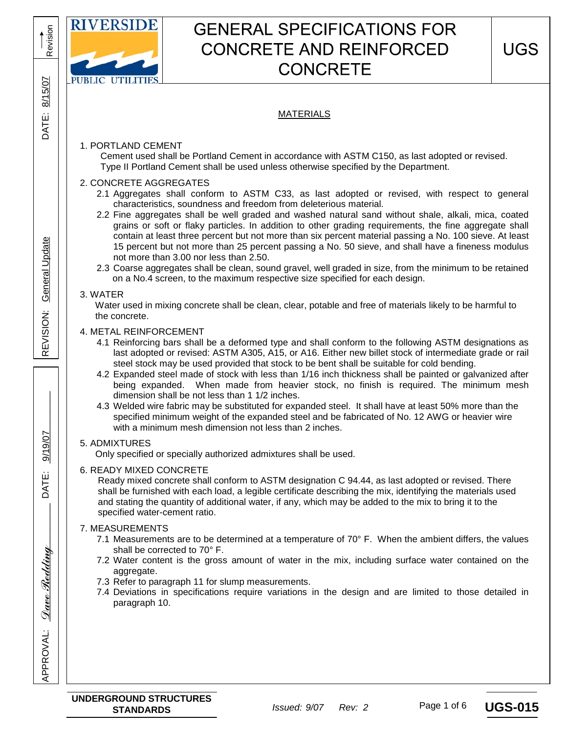

# MATERIALS

# 1. PORTLAND CEMENT

 Cement used shall be Portland Cement in accordance with ASTM C150, as last adopted or revised. Type II Portland Cement shall be used unless otherwise specified by the Department.

### 2. CONCRETE AGGREGATES

- 2.1 Aggregates shall conform to ASTM C33, as last adopted or revised, with respect to general characteristics, soundness and freedom from deleterious material.
- 2.2 Fine aggregates shall be well graded and washed natural sand without shale, alkali, mica, coated grains or soft or flaky particles. In addition to other grading requirements, the fine aggregate shall contain at least three percent but not more than six percent material passing a No. 100 sieve. At least 15 percent but not more than 25 percent passing a No. 50 sieve, and shall have a fineness modulus not more than 3.00 nor less than 2.50.
- 2.3 Coarse aggregates shall be clean, sound gravel, well graded in size, from the minimum to be retained on a No.4 screen, to the maximum respective size specified for each design.

#### 3. WATER

 Water used in mixing concrete shall be clean, clear, potable and free of materials likely to be harmful to the concrete.

#### 4. METAL REINFORCEMENT

- 4.1 Reinforcing bars shall be a deformed type and shall conform to the following ASTM designations as last adopted or revised: ASTM A305, A15, or A16. Either new billet stock of intermediate grade or rail steel stock may be used provided that stock to be bent shall be suitable for cold bending.
- 4.2 Expanded steel made of stock with less than 1/16 inch thickness shall be painted or galvanized after being expanded. When made from heavier stock, no finish is required. The minimum mesh dimension shall be not less than 1 1/2 inches.
- 4.3 Welded wire fabric may be substituted for expanded steel. It shall have at least 50% more than the specified minimum weight of the expanded steel and be fabricated of No. 12 AWG or heavier wire with a minimum mesh dimension not less than 2 inches.

## 5. ADMIXTURES

Only specified or specially authorized admixtures shall be used.

#### 6. READY MIXED CONCRETE

 Ready mixed concrete shall conform to ASTM designation C 94.44, as last adopted or revised. There shall be furnished with each load, a legible certificate describing the mix, identifying the materials used and stating the quantity of additional water, if any, which may be added to the mix to bring it to the specified water-cement ratio.

## 7. MEASUREMENTS

- 7.1 Measurements are to be determined at a temperature of 70° F. When the ambient differs, the values shall be corrected to 70° F.
- 7.2 Water content is the gross amount of water in the mix, including surface water contained on the aggregate.
- 7.3 Refer to paragraph 11 for slump measurements.
- 7.4 Deviations in specifications require variations in the design and are limited to those detailed in paragraph 10.

<u>Dave Redding</u>

**APPROVAL:** 

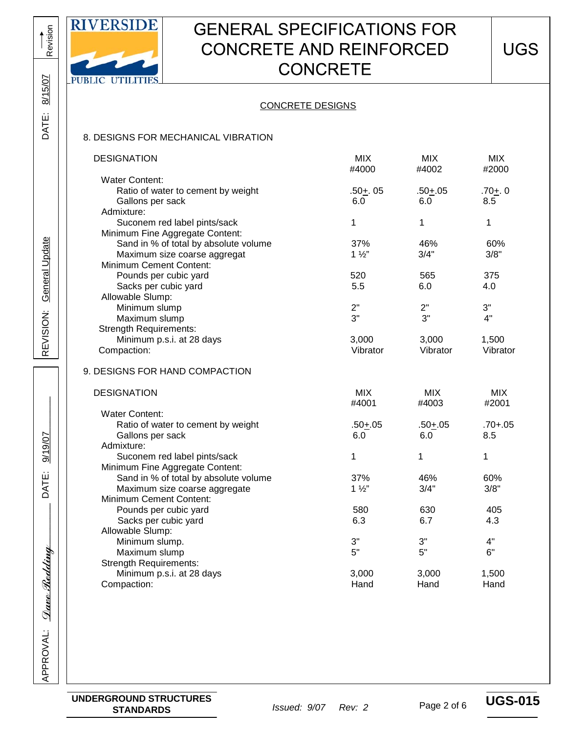

# CONCRETE DESIGNS

#### 8. DESIGNS FOR MECHANICAL VIBRATION

| <b>DESIGNATION</b>                    | <b>MIX</b>     | <b>MIX</b>  | <b>MIX</b>  |
|---------------------------------------|----------------|-------------|-------------|
| <b>Water Content:</b>                 | #4000          | #4002       | #2000       |
| Ratio of water to cement by weight    | $.50+0.05$     | $.50 + .05$ | $.70 + . 0$ |
| Gallons per sack                      | 6.0            | 6.0         | 8.5         |
| Admixture:                            |                |             |             |
| Suconem red label pints/sack          | 1              | 1           | 1           |
| Minimum Fine Aggregate Content:       |                |             |             |
|                                       | 37%            |             |             |
| Sand in % of total by absolute volume | $1\frac{1}{2}$ | 46%<br>3/4" | 60%<br>3/8" |
| Maximum size coarse aggregat          |                |             |             |
| Minimum Cement Content:               |                |             |             |
| Pounds per cubic yard                 | 520            | 565         | 375         |
| Sacks per cubic yard                  | 5.5            | 6.0         | 4.0         |
| Allowable Slump:                      |                |             |             |
| Minimum slump                         | 2"             | 2"          | 3"          |
| Maximum slump                         | 3"             | 3"          | 4"          |
| <b>Strength Requirements:</b>         |                |             |             |
| Minimum p.s.i. at 28 days             | 3,000          | 3,000       | 1,500       |
| Compaction:                           | Vibrator       | Vibrator    | Vibrator    |
| 9. DESIGNS FOR HAND COMPACTION        |                |             |             |
| <b>DESIGNATION</b>                    | <b>MIX</b>     | <b>MIX</b>  | <b>MIX</b>  |
|                                       | #4001          | #4003       | #2001       |
| <b>Water Content:</b>                 |                |             |             |
| Ratio of water to cement by weight    | $.50 + .05$    | $.50 + .05$ | $.70 + .05$ |
| Gallons per sack                      | 6.0            | 6.0         | 8.5         |
| Admixture:                            |                |             |             |
| Suconem red label pints/sack          | 1              | 1           | 1           |
| Minimum Fine Aggregate Content:       |                |             |             |
| Sand in % of total by absolute volume | 37%            | 46%         | 60%         |
| Maximum size coarse aggregate         | $1\frac{1}{2}$ | 3/4"        | 3/8"        |
| Minimum Cement Content:               |                |             |             |
| Pounds per cubic yard                 | 580            | 630         | 405         |
| Sacks per cubic yard                  | 6.3            | 6.7         | 4.3         |
| Allowable Slump:                      |                |             |             |
| Minimum slump.                        | 3"             | 3"          | 4"          |
| Maximum slump                         | 5"             | 5"          | 6"          |
| <b>Strength Requirements:</b>         |                |             |             |
| Minimum p.s.i. at 28 days             | 3,000          | 3,000       | 1,500       |
| Compaction:                           | Hand           | Hand        | Hand        |
|                                       |                |             |             |

Revision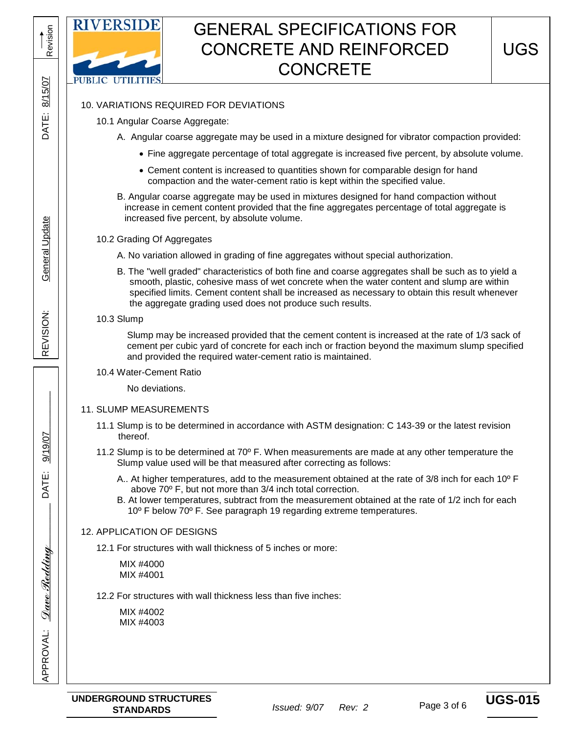

# 10. VARIATIONS REQUIRED FOR DEVIATIONS

- 10.1 Angular Coarse Aggregate:
	- A. Angular coarse aggregate may be used in a mixture designed for vibrator compaction provided:
		- Fine aggregate percentage of total aggregate is increased five percent, by absolute volume.
		- Cement content is increased to quantities shown for comparable design for hand compaction and the water-cement ratio is kept within the specified value.
	- B. Angular coarse aggregate may be used in mixtures designed for hand compaction without increase in cement content provided that the fine aggregates percentage of total aggregate is increased five percent, by absolute volume.

# 10.2 Grading Of Aggregates

- A. No variation allowed in grading of fine aggregates without special authorization.
- B. The "well graded" characteristics of both fine and coarse aggregates shall be such as to yield a smooth, plastic, cohesive mass of wet concrete when the water content and slump are within specified limits. Cement content shall be increased as necessary to obtain this result whenever the aggregate grading used does not produce such results.

#### 10.3 Slump

 Slump may be increased provided that the cement content is increased at the rate of 1/3 sack of cement per cubic yard of concrete for each inch or fraction beyond the maximum slump specified and provided the required water-cement ratio is maintained.

#### 10.4 Water-Cement Ratio

No deviations.

## 11. SLUMP MEASUREMENTS

- 11.1 Slump is to be determined in accordance with ASTM designation: C 143-39 or the latest revision thereof.
- 11.2 Slump is to be determined at 70<sup>o</sup> F. When measurements are made at any other temperature the Slump value used will be that measured after correcting as follows:
	- A.. At higher temperatures, add to the measurement obtained at the rate of 3/8 inch for each 10º F above 70º F, but not more than 3/4 inch total correction.
	- B. At lower temperatures, subtract from the measurement obtained at the rate of 1/2 inch for each 10º F below 70º F. See paragraph 19 regarding extreme temperatures.

## 12. APPLICATION OF DESIGNS

12.1 For structures with wall thickness of 5 inches or more:

 MIX #4000 MIX #4001

12.2 For structures with wall thickness less than five inches:

 MIX #4002 MIX #4003

\_\_\_\_\_\_\_\_\_\_\_\_\_\_\_\_\_\_\_\_\_\_\_

\_\_\_\_\_\_\_\_\_\_\_\_\_\_

9/19/07

DATE:

REVISION: General Update<br>

**General Update** 

REVISION:

Revision

8/15/07

DATE:

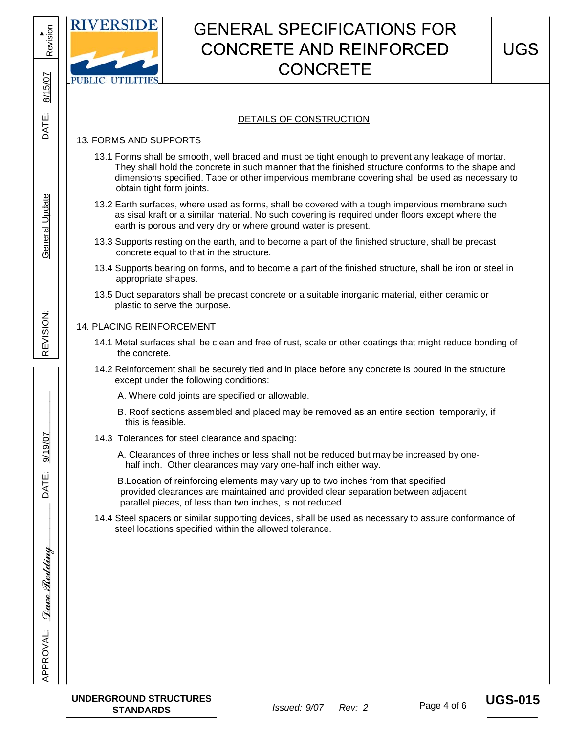

## DETAILS OF CONSTRUCTION

# 13. FORMS AND SUPPORTS

- 13.1 Forms shall be smooth, well braced and must be tight enough to prevent any leakage of mortar. They shall hold the concrete in such manner that the finished structure conforms to the shape and dimensions specified. Tape or other impervious membrane covering shall be used as necessary to obtain tight form joints.
- 13.2 Earth surfaces, where used as forms, shall be covered with a tough impervious membrane such as sisal kraft or a similar material. No such covering is required under floors except where the earth is porous and very dry or where ground water is present.
- 13.3 Supports resting on the earth, and to become a part of the finished structure, shall be precast concrete equal to that in the structure.
- 13.4 Supports bearing on forms, and to become a part of the finished structure, shall be iron or steel in appropriate shapes.
- 13.5 Duct separators shall be precast concrete or a suitable inorganic material, either ceramic or plastic to serve the purpose.

#### 14. PLACING REINFORCEMENT

- 14.1 Metal surfaces shall be clean and free of rust, scale or other coatings that might reduce bonding of the concrete.
- 14.2 Reinforcement shall be securely tied and in place before any concrete is poured in the structure except under the following conditions:
	- A. Where cold joints are specified or allowable.
	- B. Roof sections assembled and placed may be removed as an entire section, temporarily, if this is feasible.
- 14.3 Tolerances for steel clearance and spacing:
	- A. Clearances of three inches or less shall not be reduced but may be increased by one half inch. Other clearances may vary one-half inch either way.

 B.Location of reinforcing elements may vary up to two inches from that specified provided clearances are maintained and provided clear separation between adjacent parallel pieces, of less than two inches, is not reduced.

 14.4 Steel spacers or similar supporting devices, shall be used as necessary to assure conformance of steel locations specified within the allowed tolerance.

\_\_\_\_\_\_\_\_\_\_\_\_\_\_

9/19/07

REVISION: DATE:

REVISION:

General Update

General Update

Revision

8/15/07

DATE: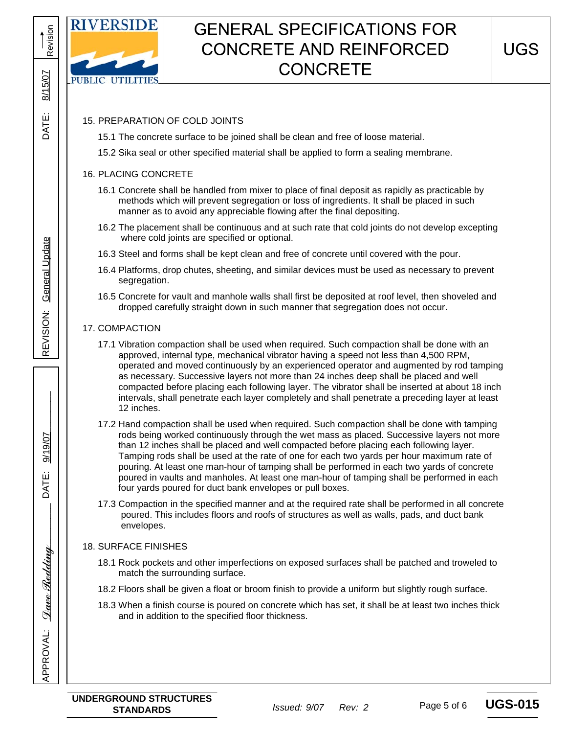

# 15. PREPARATION OF COLD JOINTS

15.1 The concrete surface to be joined shall be clean and free of loose material.

15.2 Sika seal or other specified material shall be applied to form a sealing membrane.

### 16. PLACING CONCRETE

- 16.1 Concrete shall be handled from mixer to place of final deposit as rapidly as practicable by methods which will prevent segregation or loss of ingredients. It shall be placed in such manner as to avoid any appreciable flowing after the final depositing.
- 16.2 The placement shall be continuous and at such rate that cold joints do not develop excepting where cold joints are specified or optional.
- 16.3 Steel and forms shall be kept clean and free of concrete until covered with the pour.
- 16.4 Platforms, drop chutes, sheeting, and similar devices must be used as necessary to prevent segregation.
- 16.5 Concrete for vault and manhole walls shall first be deposited at roof level, then shoveled and dropped carefully straight down in such manner that segregation does not occur.

## 17. COMPACTION

- 17.1 Vibration compaction shall be used when required. Such compaction shall be done with an approved, internal type, mechanical vibrator having a speed not less than 4,500 RPM, operated and moved continuously by an experienced operator and augmented by rod tamping as necessary. Successive layers not more than 24 inches deep shall be placed and well compacted before placing each following layer. The vibrator shall be inserted at about 18 inch intervals, shall penetrate each layer completely and shall penetrate a preceding layer at least 12 inches.
- 17.2 Hand compaction shall be used when required. Such compaction shall be done with tamping rods being worked continuously through the wet mass as placed. Successive layers not more than 12 inches shall be placed and well compacted before placing each following layer. Tamping rods shall be used at the rate of one for each two yards per hour maximum rate of pouring. At least one man-hour of tamping shall be performed in each two yards of concrete poured in vaults and manholes. At least one man-hour of tamping shall be performed in each four yards poured for duct bank envelopes or pull boxes.
- 17.3 Compaction in the specified manner and at the required rate shall be performed in all concrete poured. This includes floors and roofs of structures as well as walls, pads, and duct bank envelopes.

## 18. SURFACE FINISHES

- 18.1 Rock pockets and other imperfections on exposed surfaces shall be patched and troweled to match the surrounding surface.
- 18.2 Floors shall be given a float or broom finish to provide a uniform but slightly rough surface.
- 18.3 When a finish course is poured on concrete which has set, it shall be at least two inches thick and in addition to the specified floor thickness.

**APPROVAL:** 

**UNDERGROUND STRUCTURES STANDARDS** *Issued: 9/07 Rev: 2*